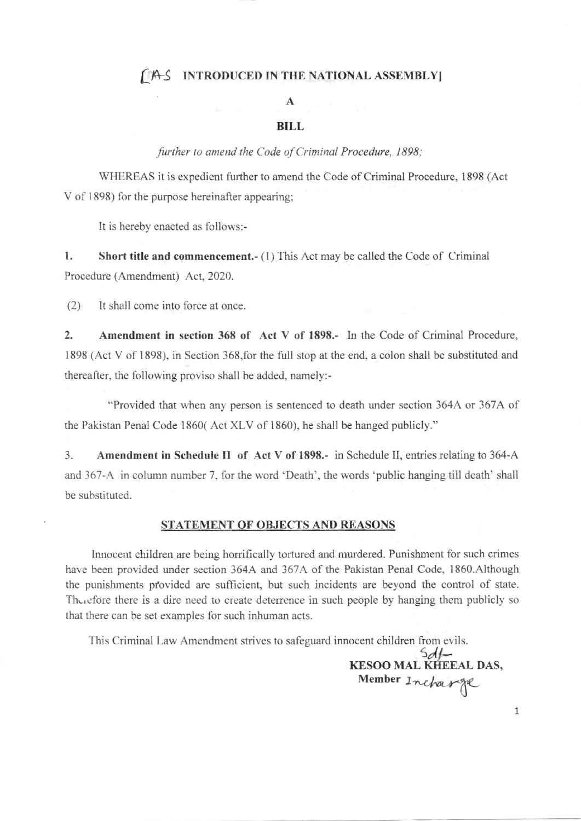## [IA-S INTRODUCED IN THE NATIONAL ASSEMBLY]

## A

## BILL

further to amend the Code of Criminal Procedure, 1898;

WHEREAS it is expedient further to amend the Code of Criminal Procedure, 1898 (Act V of 1898) for the purpose hereinafter appearing:

It is hereby enacted as follows:-

1. Short title and commencement.- (1) This Act may be called the Code of Criminal Procedure (Amendment) Act, 2020.

(2) It shall come into force at once.

2. Amendment in section <sup>368</sup>of Act V of 1898.- In the Code of Criminal Procedure, 1898 (Act V of 1898), in Section 368,for the full stop at the end, a colon shall be substituted and thereafter, the following proviso shall be added, namely:-

"Provided that when any person is sentenced to death under section 364A or 367A of the Pakistan Penal Code 1860( Act XLV of 1860), he shall be hanged publicly."

3. Amendment in Schedule II of Act V of 1898.- in Schedule II, entries relating to 364-A and 367-A in column number 7, for the word 'Death', the words 'public hanging till death' shall be substituted.

## STATEMENT OF OBJECTS AND REASONS

Innocent children are being horrifically tortured and murdered. Punishment for such crimes have been provided under section 364A and 367A of the Pakistan Penal Code, 1860.Although the punishments provided are sufficient, but such incidents are beyond the control of state. Therefore there is a dire need to create deterrence in such people by hanging them publicly so that there can be set examples for such inhuman acts.

This Criminal Law Amendment strives to safeguard innocent children from evils.

 $Sdf -$ KESOO MAL KffEEAL DAS, Member Incharge U

1